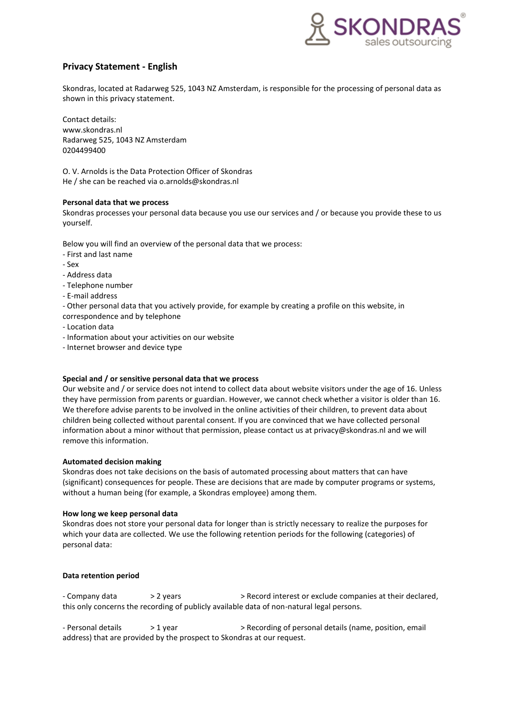

# **Privacy Statement - English**

Skondras, located at Radarweg 525, 1043 NZ Amsterdam, is responsible for the processing of personal data as shown in this privacy statement.

Contact details: www.skondras.nl Radarweg 525, 1043 NZ Amsterdam 0204499400

O. V. Arnolds is the Data Protection Officer of Skondras He / she can be reached via o.arnolds@skondras.nl

# **Personal data that we process**

Skondras processes your personal data because you use our services and / or because you provide these to us yourself.

Below you will find an overview of the personal data that we process:

- First and last name
- Sex
- Address data
- Telephone number
- E-mail address

- Other personal data that you actively provide, for example by creating a profile on this website, in correspondence and by telephone

- Location data
- Information about your activities on our website
- Internet browser and device type

# **Special and / or sensitive personal data that we process**

Our website and / or service does not intend to collect data about website visitors under the age of 16. Unless they have permission from parents or guardian. However, we cannot check whether a visitor is older than 16. We therefore advise parents to be involved in the online activities of their children, to prevent data about children being collected without parental consent. If you are convinced that we have collected personal information about a minor without that permission, please contact us at privacy@skondras.nl and we will remove this information.

### **Automated decision making**

Skondras does not take decisions on the basis of automated processing about matters that can have (significant) consequences for people. These are decisions that are made by computer programs or systems, without a human being (for example, a Skondras employee) among them.

### **How long we keep personal data**

Skondras does not store your personal data for longer than is strictly necessary to realize the purposes for which your data are collected. We use the following retention periods for the following (categories) of personal data:

# **Data retention period**

- Company data  $> 2$  years  $>$  Record interest or exclude companies at their declared, this only concerns the recording of publicly available data of non-natural legal persons.

- Personal details > 1 year > > Recording of personal details (name, position, email address) that are provided by the prospect to Skondras at our request.